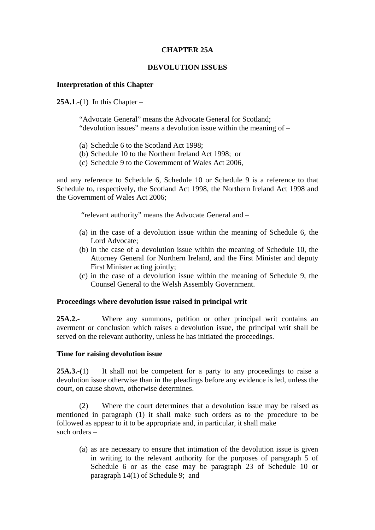## **CHAPTER 25A**

## **DEVOLUTION ISSUES**

## **Interpretation of this Chapter**

**25A.1**.-(1) In this Chapter –

"Advocate General" means the Advocate General for Scotland; "devolution issues" means a devolution issue within the meaning of –

- (a) Schedule 6 to the Scotland Act 1998;
- (b) Schedule 10 to the Northern Ireland Act 1998; or
- (c) Schedule 9 to the Government of Wales Act 2006,

and any reference to Schedule 6, Schedule 10 or Schedule 9 is a reference to that Schedule to, respectively, the Scotland Act 1998, the Northern Ireland Act 1998 and the Government of Wales Act 2006;

"relevant authority" means the Advocate General and –

- (a) in the case of a devolution issue within the meaning of Schedule 6, the Lord Advocate;
- (b) in the case of a devolution issue within the meaning of Schedule 10, the Attorney General for Northern Ireland, and the First Minister and deputy First Minister acting jointly;
- (c) in the case of a devolution issue within the meaning of Schedule 9, the Counsel General to the Welsh Assembly Government.

## **Proceedings where devolution issue raised in principal writ**

**25A.2.-** Where any summons, petition or other principal writ contains an averment or conclusion which raises a devolution issue, the principal writ shall be served on the relevant authority, unless he has initiated the proceedings.

#### **Time for raising devolution issue**

**25A.3.-(**1) It shall not be competent for a party to any proceedings to raise a devolution issue otherwise than in the pleadings before any evidence is led, unless the court, on cause shown, otherwise determines.

 (2) Where the court determines that a devolution issue may be raised as mentioned in paragraph (1) it shall make such orders as to the procedure to be followed as appear to it to be appropriate and, in particular, it shall make such orders –

(a) as are necessary to ensure that intimation of the devolution issue is given in writing to the relevant authority for the purposes of paragraph 5 of Schedule 6 or as the case may be paragraph 23 of Schedule 10 or paragraph 14(1) of Schedule 9; and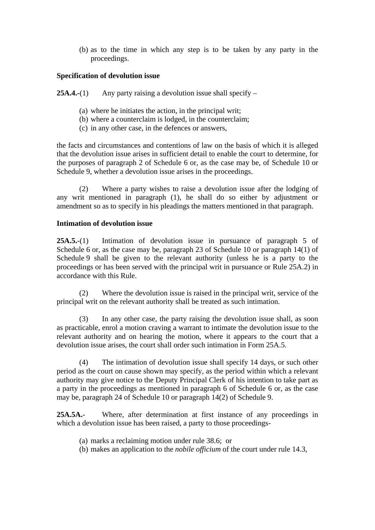(b) as to the time in which any step is to be taken by any party in the proceedings.

# **Specification of devolution issue**

**25A.4.-**(1) Any party raising a devolution issue shall specify –

- (a) where he initiates the action, in the principal writ;
- (b) where a counterclaim is lodged, in the counterclaim;
- (c) in any other case, in the defences or answers,

the facts and circumstances and contentions of law on the basis of which it is alleged that the devolution issue arises in sufficient detail to enable the court to determine, for the purposes of paragraph 2 of Schedule 6 or, as the case may be, of Schedule 10 or Schedule 9, whether a devolution issue arises in the proceedings.

 (2) Where a party wishes to raise a devolution issue after the lodging of any writ mentioned in paragraph (1), he shall do so either by adjustment or amendment so as to specify in his pleadings the matters mentioned in that paragraph.

## **Intimation of devolution issue**

**25A.5.**-(1) Intimation of devolution issue in pursuance of paragraph 5 of Schedule 6 or, as the case may be, paragraph 23 of Schedule 10 or paragraph 14(1) of Schedule 9 shall be given to the relevant authority (unless he is a party to the proceedings or has been served with the principal writ in pursuance or Rule 25A.2) in accordance with this Rule.

 (2) Where the devolution issue is raised in the principal writ, service of the principal writ on the relevant authority shall be treated as such intimation.

 (3) In any other case, the party raising the devolution issue shall, as soon as practicable, enrol a motion craving a warrant to intimate the devolution issue to the relevant authority and on hearing the motion, where it appears to the court that a devolution issue arises, the court shall order such intimation in Form 25A.5.

 (4) The intimation of devolution issue shall specify 14 days, or such other period as the court on cause shown may specify, as the period within which a relevant authority may give notice to the Deputy Principal Clerk of his intention to take part as a party in the proceedings as mentioned in paragraph 6 of Schedule 6 or, as the case may be, paragraph 24 of Schedule 10 or paragraph 14(2) of Schedule 9.

**25A.5A.**- Where, after determination at first instance of any proceedings in which a devolution issue has been raised, a party to those proceedings-

- (a) marks a reclaiming motion under rule 38.6; or
- (b) makes an application to the *nobile officium* of the court under rule 14.3,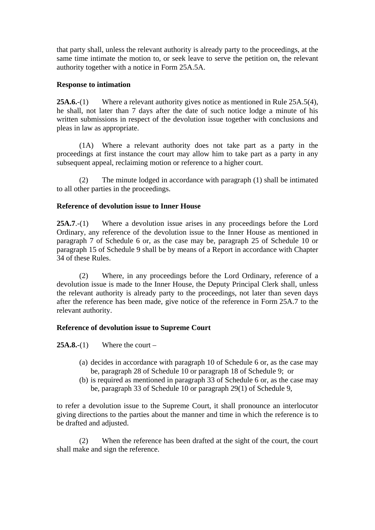that party shall, unless the relevant authority is already party to the proceedings, at the same time intimate the motion to, or seek leave to serve the petition on, the relevant authority together with a notice in Form 25A.5A.

# **Response to intimation**

**25A.6.**-(1) Where a relevant authority gives notice as mentioned in Rule 25A.5(4), he shall, not later than 7 days after the date of such notice lodge a minute of his written submissions in respect of the devolution issue together with conclusions and pleas in law as appropriate.

 (1A) Where a relevant authority does not take part as a party in the proceedings at first instance the court may allow him to take part as a party in any subsequent appeal, reclaiming motion or reference to a higher court.

 (2) The minute lodged in accordance with paragraph (1) shall be intimated to all other parties in the proceedings.

# **Reference of devolution issue to Inner House**

**25A.7**.-(1) Where a devolution issue arises in any proceedings before the Lord Ordinary, any reference of the devolution issue to the Inner House as mentioned in paragraph 7 of Schedule 6 or, as the case may be, paragraph 25 of Schedule 10 or paragraph 15 of Schedule 9 shall be by means of a Report in accordance with Chapter 34 of these Rules.

 (2) Where, in any proceedings before the Lord Ordinary, reference of a devolution issue is made to the Inner House, the Deputy Principal Clerk shall, unless the relevant authority is already party to the proceedings, not later than seven days after the reference has been made, give notice of the reference in Form 25A.7 to the relevant authority.

# **Reference of devolution issue to Supreme Court**

 $25A.8-(1)$  Where the court –

- (a) decides in accordance with paragraph 10 of Schedule 6 or, as the case may be, paragraph 28 of Schedule 10 or paragraph 18 of Schedule 9; or
- (b) is required as mentioned in paragraph 33 of Schedule 6 or, as the case may be, paragraph 33 of Schedule 10 or paragraph 29(1) of Schedule 9,

to refer a devolution issue to the Supreme Court, it shall pronounce an interlocutor giving directions to the parties about the manner and time in which the reference is to be drafted and adjusted.

 (2) When the reference has been drafted at the sight of the court, the court shall make and sign the reference.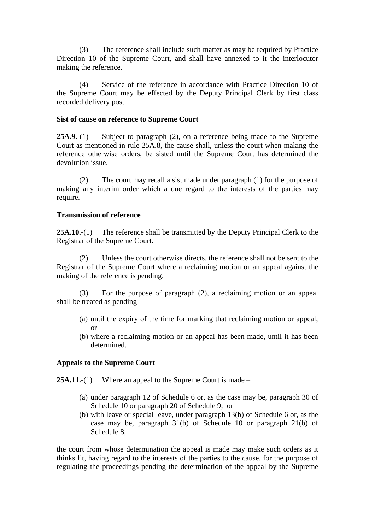(3) The reference shall include such matter as may be required by Practice Direction 10 of the Supreme Court, and shall have annexed to it the interlocutor making the reference.

 (4) Service of the reference in accordance with Practice Direction 10 of the Supreme Court may be effected by the Deputy Principal Clerk by first class recorded delivery post.

## **Sist of cause on reference to Supreme Court**

**25A.9.**-(1) Subject to paragraph (2), on a reference being made to the Supreme Court as mentioned in rule 25A.8, the cause shall, unless the court when making the reference otherwise orders, be sisted until the Supreme Court has determined the devolution issue.

 (2) The court may recall a sist made under paragraph (1) for the purpose of making any interim order which a due regard to the interests of the parties may require.

# **Transmission of reference**

**25A.10.**-(1) The reference shall be transmitted by the Deputy Principal Clerk to the Registrar of the Supreme Court.

 (2) Unless the court otherwise directs, the reference shall not be sent to the Registrar of the Supreme Court where a reclaiming motion or an appeal against the making of the reference is pending.

 (3) For the purpose of paragraph (2), a reclaiming motion or an appeal shall be treated as pending –

- (a) until the expiry of the time for marking that reclaiming motion or appeal; or
- (b) where a reclaiming motion or an appeal has been made, until it has been determined.

# **Appeals to the Supreme Court**

**25A.11.-(1)** Where an appeal to the Supreme Court is made –

- (a) under paragraph 12 of Schedule 6 or, as the case may be, paragraph 30 of Schedule 10 or paragraph 20 of Schedule 9; or
- (b) with leave or special leave, under paragraph 13(b) of Schedule 6 or, as the case may be, paragraph 31(b) of Schedule 10 or paragraph 21(b) of Schedule 8,

the court from whose determination the appeal is made may make such orders as it thinks fit, having regard to the interests of the parties to the cause, for the purpose of regulating the proceedings pending the determination of the appeal by the Supreme